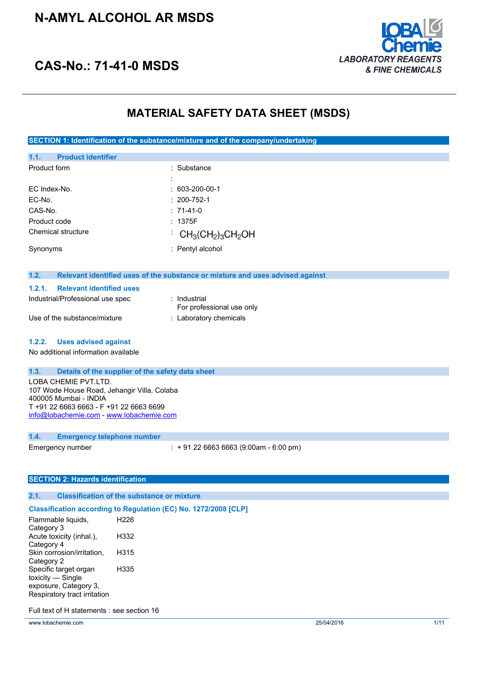### **N-AMYL ALCOHOL AR MSDS**



## **CAS-No.: 71-41-0 MSDS**

### **MATERIAL SAFETY DATA SHEET (MSDS)**

**SECTION 1: Identification of the substance/mixture and of the company/undertaking**

| 1.1.         | <b>Product identifier</b> |                                                                            |
|--------------|---------------------------|----------------------------------------------------------------------------|
| Product form |                           | : Substance                                                                |
|              |                           | ٠                                                                          |
| EC Index-No. |                           | $: 603 - 200 - 00 - 1$                                                     |
| EC-No.       |                           | $: 200 - 752 - 1$                                                          |
| CAS-No.      |                           | $: 71-41-0$                                                                |
| Product code |                           | : 1375F                                                                    |
|              | Chemical structure        | $\cdot$ CH <sub>3</sub> (CH <sub>2</sub> ) <sub>3</sub> CH <sub>2</sub> OH |
| Synonyms     |                           | : Pentyl alcohol                                                           |

#### **1.2. Relevant identified uses of the substance or mixture and uses advised against**

| 1.2.1. | <b>Relevant identified uses</b>  |                                           |
|--------|----------------------------------|-------------------------------------------|
|        | Industrial/Professional use spec | ∶ Industrial<br>For professional use only |
|        | Use of the substance/mixture     | : Laboratory chemicals                    |

#### **1.2.2. Uses advised against**

No additional information available

#### **1.3. Details of the supplier of the safety data sheet**

LOBA CHEMIE PVT.LTD. 107 Wode House Road, Jehangir Villa, Colaba 400005 Mumbai - INDIA T +91 22 6663 6663 - F +91 22 6663 6699 [info@lobachemie.com](mailto:info@lobachemie.com) - <www.lobachemie.com>

#### **1.4. Emergency telephone number**

Emergency number : + 91 22 6663 6663 (9:00am - 6:00 pm)

#### **SECTION 2: Hazards identification**

#### **2.1. Classification of the substance or mixture**

#### **Classification according to Regulation (EC) No. 1272/2008 [CLP]**

| Flammable liquids,           | H <sub>226</sub> |
|------------------------------|------------------|
| Category 3                   |                  |
| Acute toxicity (inhal.),     | H332             |
| Category 4                   |                  |
| Skin corrosion/irritation,   | H315             |
| Category 2                   |                  |
| Specific target organ        | H335             |
| toxicity — Single            |                  |
| exposure, Category 3,        |                  |
| Respiratory tract irritation |                  |
|                              |                  |

Full text of H statements : see section 16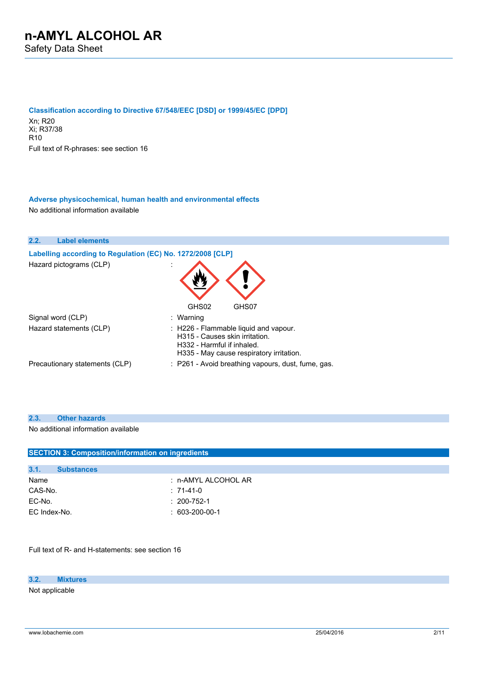**Classification according to Directive 67/548/EEC [DSD] or 1999/45/EC [DPD]**

Xn; R20 Xi; R37/38  $R10$ Full text of R-phrases: see section 16

#### **Adverse physicochemical, human health and environmental effects** No additional information available



#### **2.3. Other hazards**

No additional information available

| <b>SECTION 3: Composition/information on ingredients</b> |                     |  |
|----------------------------------------------------------|---------------------|--|
|                                                          |                     |  |
| 3.1.<br><b>Substances</b>                                |                     |  |
| Name                                                     | : n-AMYL ALCOHOL AR |  |
| CAS-No.                                                  | $: 71-41-0$         |  |
| EC-No.                                                   | $: 200 - 752 - 1$   |  |
| EC Index-No.                                             | $: 603-200-00-1$    |  |
|                                                          |                     |  |

Full text of R- and H-statements: see section 16

#### **3.2. Mixtures**

Not applicable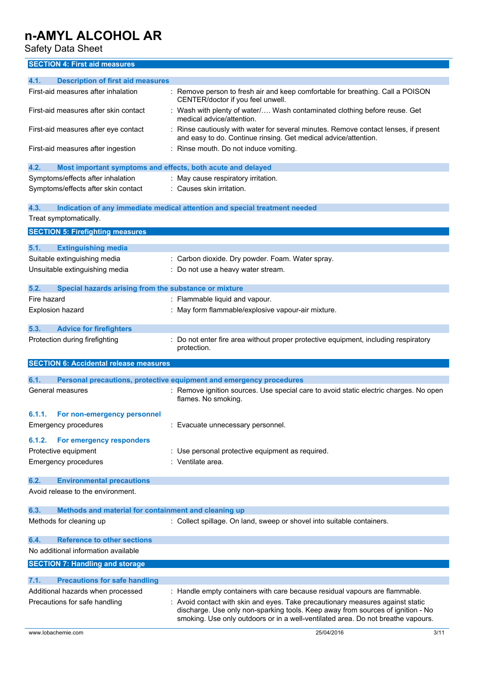Safety Data Sheet

### **SECTION 4: First aid measures**

| 4.1.<br><b>Description of first aid measures</b>                    |                                                                                                                                                                                                                                                     |
|---------------------------------------------------------------------|-----------------------------------------------------------------------------------------------------------------------------------------------------------------------------------------------------------------------------------------------------|
| First-aid measures after inhalation                                 | : Remove person to fresh air and keep comfortable for breathing. Call a POISON<br>CENTER/doctor if you feel unwell.                                                                                                                                 |
| First-aid measures after skin contact                               | Wash with plenty of water/ Wash contaminated clothing before reuse. Get<br>medical advice/attention.                                                                                                                                                |
| First-aid measures after eye contact                                | Rinse cautiously with water for several minutes. Remove contact lenses, if present<br>and easy to do. Continue rinsing. Get medical advice/attention.                                                                                               |
| First-aid measures after ingestion                                  | Rinse mouth. Do not induce vomiting.                                                                                                                                                                                                                |
| Most important symptoms and effects, both acute and delayed<br>4.2. |                                                                                                                                                                                                                                                     |
| Symptoms/effects after inhalation                                   | : May cause respiratory irritation.                                                                                                                                                                                                                 |
| Symptoms/effects after skin contact                                 | : Causes skin irritation.                                                                                                                                                                                                                           |
| 4.3.                                                                | Indication of any immediate medical attention and special treatment needed                                                                                                                                                                          |
| Treat symptomatically.                                              |                                                                                                                                                                                                                                                     |
| <b>SECTION 5: Firefighting measures</b>                             |                                                                                                                                                                                                                                                     |
|                                                                     |                                                                                                                                                                                                                                                     |
| 5.1.<br><b>Extinguishing media</b>                                  |                                                                                                                                                                                                                                                     |
| Suitable extinguishing media                                        | Carbon dioxide. Dry powder. Foam. Water spray.                                                                                                                                                                                                      |
| Unsuitable extinguishing media                                      | Do not use a heavy water stream.                                                                                                                                                                                                                    |
|                                                                     |                                                                                                                                                                                                                                                     |
| 5.2.<br>Special hazards arising from the substance or mixture       |                                                                                                                                                                                                                                                     |
| Fire hazard                                                         | : Flammable liquid and vapour.                                                                                                                                                                                                                      |
| <b>Explosion hazard</b>                                             | May form flammable/explosive vapour-air mixture.                                                                                                                                                                                                    |
|                                                                     |                                                                                                                                                                                                                                                     |
| <b>Advice for firefighters</b><br>5.3.                              |                                                                                                                                                                                                                                                     |
| Protection during firefighting                                      | Do not enter fire area without proper protective equipment, including respiratory<br>protection.                                                                                                                                                    |
| <b>SECTION 6: Accidental release measures</b>                       |                                                                                                                                                                                                                                                     |
| 6.1.                                                                | Personal precautions, protective equipment and emergency procedures                                                                                                                                                                                 |
| General measures                                                    | : Remove ignition sources. Use special care to avoid static electric charges. No open<br>flames. No smoking.                                                                                                                                        |
| 6.1.1.<br>For non-emergency personnel                               |                                                                                                                                                                                                                                                     |
| <b>Emergency procedures</b>                                         | Evacuate unnecessary personnel.                                                                                                                                                                                                                     |
| For emergency responders<br>6.1.2.                                  |                                                                                                                                                                                                                                                     |
| Protective equipment                                                | : Use personal protective equipment as required.                                                                                                                                                                                                    |
| Emergency procedures                                                | : Ventilate area.                                                                                                                                                                                                                                   |
|                                                                     |                                                                                                                                                                                                                                                     |
| 6.2.<br><b>Environmental precautions</b>                            |                                                                                                                                                                                                                                                     |
| Avoid release to the environment.                                   |                                                                                                                                                                                                                                                     |
| Methods and material for containment and cleaning up<br>6.3.        |                                                                                                                                                                                                                                                     |
| Methods for cleaning up                                             | : Collect spillage. On land, sweep or shovel into suitable containers.                                                                                                                                                                              |
| <b>Reference to other sections</b><br>6.4.                          |                                                                                                                                                                                                                                                     |
| No additional information available                                 |                                                                                                                                                                                                                                                     |
| <b>SECTION 7: Handling and storage</b>                              |                                                                                                                                                                                                                                                     |
| 7.1.<br><b>Precautions for safe handling</b>                        |                                                                                                                                                                                                                                                     |
| Additional hazards when processed                                   | : Handle empty containers with care because residual vapours are flammable.                                                                                                                                                                         |
| Precautions for safe handling                                       | Avoid contact with skin and eyes. Take precautionary measures against static<br>discharge. Use only non-sparking tools. Keep away from sources of ignition - No<br>smoking. Use only outdoors or in a well-ventilated area. Do not breathe vapours. |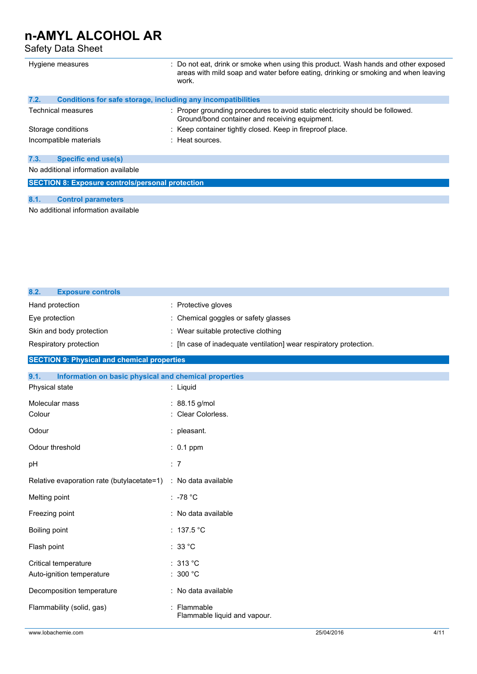Safety Data Sheet

| Hygiene measures                                                     | : Do not eat, drink or smoke when using this product. Wash hands and other exposed<br>areas with mild soap and water before eating, drinking or smoking and when leaving |  |
|----------------------------------------------------------------------|--------------------------------------------------------------------------------------------------------------------------------------------------------------------------|--|
|                                                                      | work.                                                                                                                                                                    |  |
| 7.2.<br>Conditions for safe storage, including any incompatibilities |                                                                                                                                                                          |  |
| Technical measures                                                   | : Proper grounding procedures to avoid static electricity should be followed.<br>Ground/bond container and receiving equipment.                                          |  |
| Storage conditions                                                   | : Keep container tightly closed. Keep in fireproof place.                                                                                                                |  |
| Incompatible materials                                               | $:$ Heat sources.                                                                                                                                                        |  |
| <b>Specific end use(s)</b><br>7.3.                                   |                                                                                                                                                                          |  |
| No additional information available                                  |                                                                                                                                                                          |  |
| <b>SECTION 8: Exposure controls/personal protection</b>              |                                                                                                                                                                          |  |

#### **8.1. Control parameters**

No additional information available

| 8.2.<br><b>Exposure controls</b>                   |                                                                  |
|----------------------------------------------------|------------------------------------------------------------------|
| Hand protection                                    | : Protective gloves                                              |
| Eye protection                                     | : Chemical goggles or safety glasses                             |
| Skin and body protection                           | : Wear suitable protective clothing                              |
| Respiratory protection                             | : In case of inadequate ventilation wear respiratory protection. |
| <b>SECTION 9: Physical and chemical properties</b> |                                                                  |

| 9.1.<br>Information on basic physical and chemical properties |                                             |
|---------------------------------------------------------------|---------------------------------------------|
| Physical state                                                | : Liquid                                    |
| Molecular mass<br>Colour                                      | : 88.15 g/mol<br>: Clear Colorless.         |
| Odour                                                         | : pleasant.                                 |
| Odour threshold                                               | $: 0.1$ ppm                                 |
| pH                                                            | : 7                                         |
| Relative evaporation rate (butylacetate=1)                    | : No data available                         |
| Melting point                                                 | $: -78 °C$                                  |
| Freezing point                                                | : No data available                         |
| Boiling point                                                 | : $137.5$ °C                                |
| Flash point                                                   | : $33^{\circ}$ C                            |
| Critical temperature<br>Auto-ignition temperature             | :313 °C<br>: 300 $^{\circ}$ C               |
| Decomposition temperature                                     | : No data available                         |
| Flammability (solid, gas)                                     | : Flammable<br>Flammable liquid and vapour. |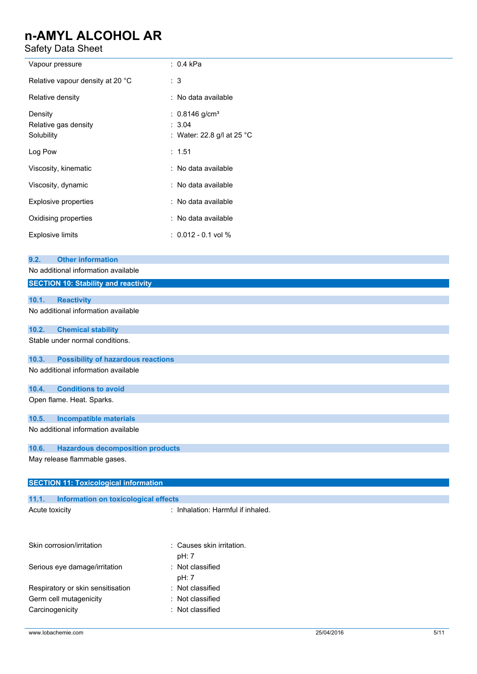Safety Data Sheet

| Safety Data Sheet                                                                                                      |                                                                      |  |
|------------------------------------------------------------------------------------------------------------------------|----------------------------------------------------------------------|--|
| Vapour pressure                                                                                                        | : 0.4 kPa                                                            |  |
| Relative vapour density at 20 °C                                                                                       | : 3                                                                  |  |
| Relative density                                                                                                       | : No data available                                                  |  |
| Density<br>Relative gas density<br>Solubility                                                                          | : $0.8146$ g/cm <sup>3</sup><br>: 3.04<br>: Water: 22.8 g/l at 25 °C |  |
| Log Pow                                                                                                                | : 1.51                                                               |  |
| Viscosity, kinematic                                                                                                   | : No data available                                                  |  |
| Viscosity, dynamic                                                                                                     | : No data available                                                  |  |
| Explosive properties                                                                                                   | : No data available                                                  |  |
| Oxidising properties                                                                                                   | : No data available                                                  |  |
| <b>Explosive limits</b>                                                                                                | $: 0.012 - 0.1$ vol %                                                |  |
| <b>Other information</b><br>9.2.<br>No additional information available<br><b>SECTION 10: Stability and reactivity</b> |                                                                      |  |
| 10.1.<br><b>Reactivity</b>                                                                                             |                                                                      |  |
| No additional information available                                                                                    |                                                                      |  |
| 10.2.<br><b>Chemical stability</b>                                                                                     |                                                                      |  |
| Stable under normal conditions.                                                                                        |                                                                      |  |
| 10.3.<br><b>Possibility of hazardous reactions</b><br>No additional information available                              |                                                                      |  |
| 10.4.<br><b>Conditions to avoid</b>                                                                                    |                                                                      |  |
| Open flame. Heat. Sparks.                                                                                              |                                                                      |  |
| <b>Incompatible materials</b><br>10.5.                                                                                 |                                                                      |  |
| No additional information available                                                                                    |                                                                      |  |
| 10.6.<br><b>Hazardous decomposition products</b>                                                                       |                                                                      |  |
| May release flammable gases.                                                                                           |                                                                      |  |
| <b>SECTION 11: Toxicological information</b>                                                                           |                                                                      |  |
| 11.1.<br><b>Information on toxicological effects</b>                                                                   |                                                                      |  |
| Acute toxicity                                                                                                         | : Inhalation: Harmful if inhaled.                                    |  |
| Skin corrosion/irritation                                                                                              | Causes skin irritation.<br>pH: 7                                     |  |
| Serious eye damage/irritation                                                                                          | : Not classified                                                     |  |

pH: 7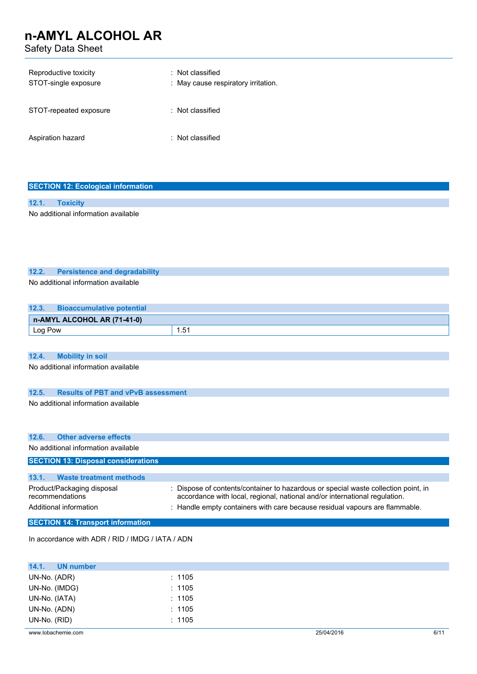Safety Data Sheet

| Reproductive toxicity<br>STOT-single exposure | : Not classified<br>: May cause respiratory irritation. |
|-----------------------------------------------|---------------------------------------------------------|
| STOT-repeated exposure                        | : Not classified                                        |
| Aspiration hazard                             | : Not classified                                        |

|       | <b>SECTION 12: Ecological information</b> |  |  |
|-------|-------------------------------------------|--|--|
|       |                                           |  |  |
| 12.1. | <b>Toxicity</b>                           |  |  |
|       | No additional information available       |  |  |

#### **12.2. Persistence and degradability**

No additional information available

| 12.3.   | <b>Bioaccumulative potential</b> |     |
|---------|----------------------------------|-----|
|         | n-AMYL ALCOHOL AR (71-41-0)      |     |
| Log Pow |                                  | .51 |

#### **12.4. Mobility in soil**

No additional information available

### **12.5. Results of PBT and vPvB assessment**

No additional information available

| 12.6.<br><b>Other adverse effects</b>         |                                                                                                                                                                  |
|-----------------------------------------------|------------------------------------------------------------------------------------------------------------------------------------------------------------------|
| No additional information available           |                                                                                                                                                                  |
| <b>SECTION 13: Disposal considerations</b>    |                                                                                                                                                                  |
|                                               |                                                                                                                                                                  |
| 13.1.<br><b>Waste treatment methods</b>       |                                                                                                                                                                  |
| Product/Packaging disposal<br>recommendations | : Dispose of contents/container to hazardous or special waste collection point, in<br>accordance with local, regional, national and/or international regulation. |
| Additional information                        | : Handle empty containers with care because residual vapours are flammable.                                                                                      |
| <b>SECTION 14: Transport information</b>      |                                                                                                                                                                  |

In accordance with ADR / RID / IMDG / IATA / ADN

| 14.1.<br><b>UN number</b> |        |            |      |
|---------------------------|--------|------------|------|
| UN-No. (ADR)              | : 1105 |            |      |
| UN-No. (IMDG)             | : 1105 |            |      |
| UN-No. (IATA)             | : 1105 |            |      |
| UN-No. (ADN)              | : 1105 |            |      |
| UN-No. (RID)              | : 1105 |            |      |
| www.lobachemie.com        |        | 25/04/2016 | 6/11 |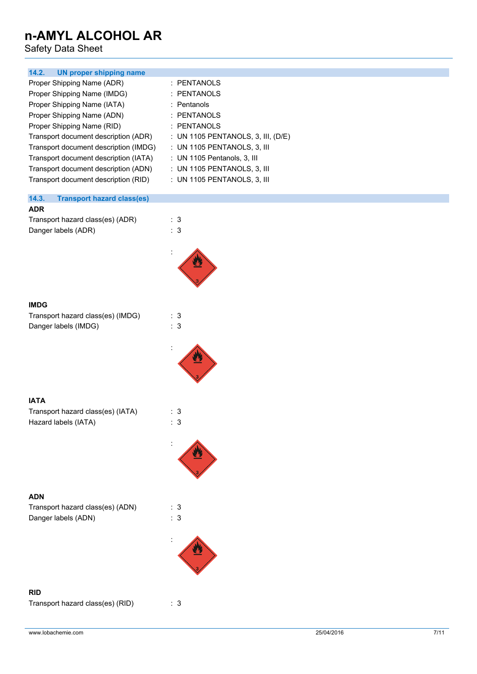Safety Data Sheet

| 14.2.                                                                                                                                                                                                                                                                                                                                                                                            |                                                                                                                                                                                                                                                   |            |      |
|--------------------------------------------------------------------------------------------------------------------------------------------------------------------------------------------------------------------------------------------------------------------------------------------------------------------------------------------------------------------------------------------------|---------------------------------------------------------------------------------------------------------------------------------------------------------------------------------------------------------------------------------------------------|------------|------|
| <b>UN proper shipping name</b><br>Proper Shipping Name (ADR)<br>Proper Shipping Name (IMDG)<br>Proper Shipping Name (IATA)<br>Proper Shipping Name (ADN)<br>Proper Shipping Name (RID)<br>Transport document description (ADR)<br>Transport document description (IMDG)<br>Transport document description (IATA)<br>Transport document description (ADN)<br>Transport document description (RID) | : PENTANOLS<br><b>PENTANOLS</b><br>Pentanols<br>÷<br>: PENTANOLS<br>: PENTANOLS<br>: UN 1105 PENTANOLS, 3, III, (D/E)<br>: UN 1105 PENTANOLS, 3, III<br>: UN 1105 Pentanols, 3, III<br>: UN 1105 PENTANOLS, 3, III<br>: UN 1105 PENTANOLS, 3, III |            |      |
| 14.3.<br><b>Transport hazard class(es)</b>                                                                                                                                                                                                                                                                                                                                                       |                                                                                                                                                                                                                                                   |            |      |
| <b>ADR</b><br>Transport hazard class(es) (ADR)<br>Danger labels (ADR)                                                                                                                                                                                                                                                                                                                            | : 3<br>: 3                                                                                                                                                                                                                                        |            |      |
|                                                                                                                                                                                                                                                                                                                                                                                                  |                                                                                                                                                                                                                                                   |            |      |
| <b>IMDG</b><br>Transport hazard class(es) (IMDG)                                                                                                                                                                                                                                                                                                                                                 | : 3                                                                                                                                                                                                                                               |            |      |
| Danger labels (IMDG)                                                                                                                                                                                                                                                                                                                                                                             | : 3                                                                                                                                                                                                                                               |            |      |
|                                                                                                                                                                                                                                                                                                                                                                                                  |                                                                                                                                                                                                                                                   |            |      |
| <b>IATA</b>                                                                                                                                                                                                                                                                                                                                                                                      |                                                                                                                                                                                                                                                   |            |      |
| Transport hazard class(es) (IATA)<br>Hazard labels (IATA)                                                                                                                                                                                                                                                                                                                                        | : 3<br>: 3                                                                                                                                                                                                                                        |            |      |
|                                                                                                                                                                                                                                                                                                                                                                                                  |                                                                                                                                                                                                                                                   |            |      |
|                                                                                                                                                                                                                                                                                                                                                                                                  |                                                                                                                                                                                                                                                   |            |      |
| <b>ADN</b><br>Transport hazard class(es) (ADN)<br>Danger labels (ADN)                                                                                                                                                                                                                                                                                                                            | : 3<br>: 3                                                                                                                                                                                                                                        |            |      |
|                                                                                                                                                                                                                                                                                                                                                                                                  |                                                                                                                                                                                                                                                   |            |      |
|                                                                                                                                                                                                                                                                                                                                                                                                  |                                                                                                                                                                                                                                                   |            |      |
| <b>RID</b><br>Transport hazard class(es) (RID)                                                                                                                                                                                                                                                                                                                                                   | : 3                                                                                                                                                                                                                                               |            |      |
| www.lobachemie.com                                                                                                                                                                                                                                                                                                                                                                               |                                                                                                                                                                                                                                                   | 25/04/2016 | 7/11 |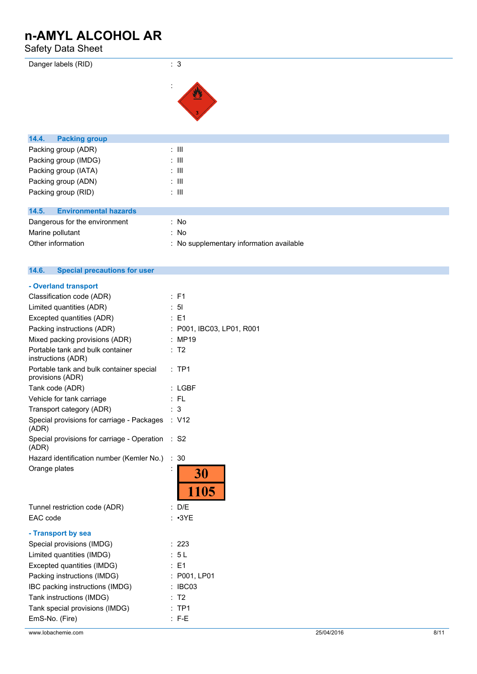### Safety Data Sheet

| Danger labels (RID)                   | : 3                                      |
|---------------------------------------|------------------------------------------|
|                                       | ÷                                        |
|                                       |                                          |
| 14.4.<br><b>Packing group</b>         |                                          |
| Packing group (ADR)                   | $\colon \mathbb{H}$                      |
| Packing group (IMDG)                  | $\therefore$ $\mathbf{III}$              |
| Packing group (IATA)                  | $\therefore$ $\mathbf{III}$              |
| Packing group (ADN)                   | $\therefore$ $\mathbf{III}$              |
| Packing group (RID)                   | $\therefore$ III                         |
|                                       |                                          |
| <b>Environmental hazards</b><br>14.5. |                                          |
| Dangerous for the environment         | : No                                     |
| Marine pollutant                      | : No                                     |
| Other information                     | : No supplementary information available |

| 14.6.<br><b>Special precautions for user</b>                 |                           |
|--------------------------------------------------------------|---------------------------|
| - Overland transport                                         |                           |
| Classification code (ADR)                                    | $\therefore$ F1           |
| Limited quantities (ADR)                                     | : 5I                      |
| Excepted quantities (ADR)                                    | $\therefore$ F1           |
| Packing instructions (ADR)                                   | : P001, IBC03, LP01, R001 |
| Mixed packing provisions (ADR)                               | : MP19                    |
| Portable tank and bulk container<br>instructions (ADR)       | : T2                      |
| Portable tank and bulk container special<br>provisions (ADR) | $:$ TP1                   |
| Tank code (ADR)                                              | : LGBF                    |
| Vehicle for tank carriage                                    | : FL                      |
| Transport category (ADR)                                     | : 3                       |
| Special provisions for carriage - Packages<br>(ADR)          | : V12                     |
| Special provisions for carriage - Operation<br>(ADR)         | : S2                      |
| Hazard identification number (Kemler No.)                    | :30                       |
| Orange plates                                                | 30                        |
|                                                              | 1105                      |
| Tunnel restriction code (ADR)                                | : $D/F$                   |
| EAC code                                                     | : ∙3YE                    |
|                                                              |                           |

| - Transport by sea              |                    |
|---------------------------------|--------------------|
| Special provisions (IMDG)       | : 223              |
| Limited quantities (IMDG)       | : 5L               |
| Excepted quantities (IMDG)      | $\therefore$ E1    |
| Packing instructions (IMDG)     | : P001, LP01       |
| IBC packing instructions (IMDG) | $\therefore$ IBC03 |
| Tank instructions (IMDG)        | : T2               |
| Tank special provisions (IMDG)  | $:$ TP1            |
| EmS-No. (Fire)                  | $:$ F-E            |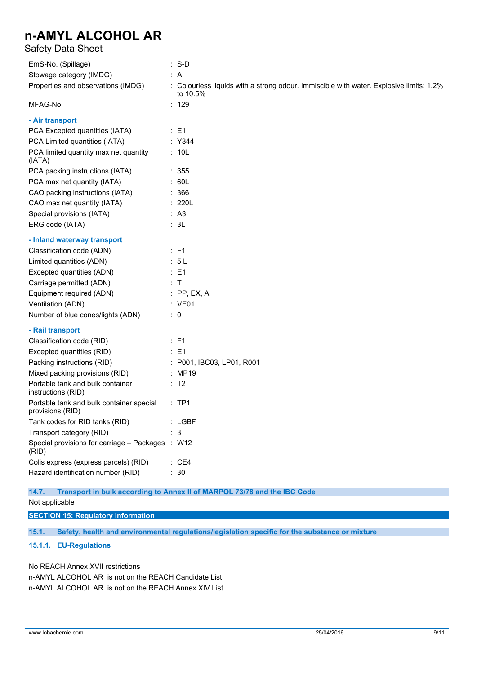### Safety Data Sheet

| EmS-No. (Spillage)                                           | $: S-D$                                                                                             |
|--------------------------------------------------------------|-----------------------------------------------------------------------------------------------------|
| Stowage category (IMDG)                                      | : A                                                                                                 |
| Properties and observations (IMDG)                           | : Colourless liquids with a strong odour. Immiscible with water. Explosive limits: 1.2%<br>to 10.5% |
| MFAG-No                                                      | : 129                                                                                               |
| - Air transport                                              |                                                                                                     |
| PCA Excepted quantities (IATA)                               | $\therefore$ E1                                                                                     |
| PCA Limited quantities (IATA)                                | : Y344                                                                                              |
| PCA limited quantity max net quantity<br>(IATA)              | : 10L                                                                                               |
| PCA packing instructions (IATA)                              | : 355                                                                                               |
| PCA max net quantity (IATA)                                  | : 60L                                                                                               |
| CAO packing instructions (IATA)                              | : 366                                                                                               |
| CAO max net quantity (IATA)                                  | : 220L                                                                                              |
| Special provisions (IATA)                                    | : A3                                                                                                |
| ERG code (IATA)                                              | : 3L                                                                                                |
| - Inland waterway transport                                  |                                                                                                     |
| Classification code (ADN)                                    | $\therefore$ F1                                                                                     |
| Limited quantities (ADN)                                     | : 5L                                                                                                |
| Excepted quantities (ADN)                                    | $\therefore$ E1                                                                                     |
| Carriage permitted (ADN)                                     | $\therefore$ T                                                                                      |
| Equipment required (ADN)                                     | $:$ PP, EX, A                                                                                       |
| Ventilation (ADN)                                            | : VE01                                                                                              |
| Number of blue cones/lights (ADN)                            | $\therefore$ 0                                                                                      |
| - Rail transport                                             |                                                                                                     |
| Classification code (RID)                                    | : F1                                                                                                |
| Excepted quantities (RID)                                    | $\therefore$ E1                                                                                     |
| Packing instructions (RID)                                   | : P001, IBC03, LP01, R001                                                                           |
| Mixed packing provisions (RID)                               | : MP19                                                                                              |
| Portable tank and bulk container<br>instructions (RID)       | $\therefore$ T2                                                                                     |
| Portable tank and bulk container special<br>provisions (RID) | :TP1                                                                                                |
| Tank codes for RID tanks (RID)                               | : LGBF                                                                                              |
| Transport category (RID)                                     | $\mathbf{3}$                                                                                        |
| Special provisions for carriage - Packages : W12<br>(RID)    |                                                                                                     |
| Colis express (express parcels) (RID)                        | : CE4                                                                                               |
| Hazard identification number (RID)                           | : 30                                                                                                |

#### **14.7. Transport in bulk according to Annex II of MARPOL 73/78 and the IBC Code**

Not applicable

#### **SECTION 15: Regulatory information**

**15.1. Safety, health and environmental regulations/legislation specific for the substance or mixture**

#### **15.1.1. EU-Regulations**

No REACH Annex XVII restrictions

n-AMYL ALCOHOL AR is not on the REACH Candidate List n-AMYL ALCOHOL AR is not on the REACH Annex XIV List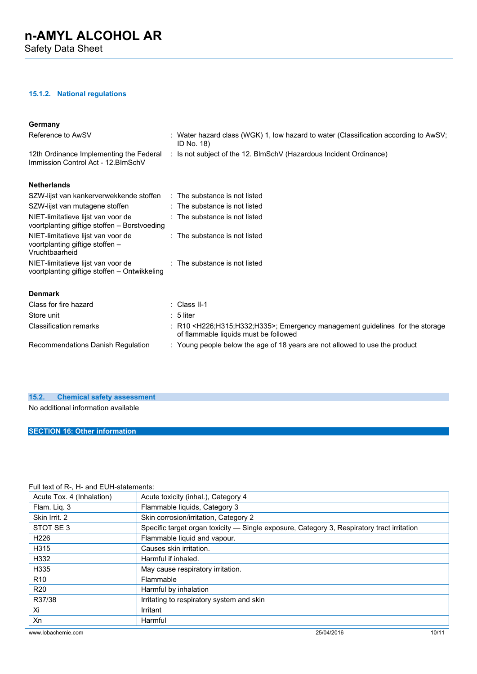Safety Data Sheet

#### **15.1.2. National regulations**

#### **Germany**

| Reference to AwSV                                                                       | : Water hazard class (WGK) 1, low hazard to water (Classification according to AwSV;<br>ID No. 18)                                           |
|-----------------------------------------------------------------------------------------|----------------------------------------------------------------------------------------------------------------------------------------------|
| Immission Control Act - 12. BlmSchV                                                     | 12th Ordinance Implementing the Federal : Is not subject of the 12. BlmSchV (Hazardous Incident Ordinance)                                   |
| <b>Netherlands</b>                                                                      |                                                                                                                                              |
| SZW-lijst van kankerverwekkende stoffen : The substance is not listed                   |                                                                                                                                              |
| SZW-lijst van mutagene stoffen                                                          | $\therefore$ The substance is not listed                                                                                                     |
| NIET-limitatieve lijst van voor de<br>voortplanting giftige stoffen – Borstvoeding      | : The substance is not listed                                                                                                                |
| NIET-limitatieve lijst van voor de<br>voortplanting giftige stoffen -<br>Vruchtbaarheid | $:$ The substance is not listed                                                                                                              |
| NIET-limitatieve lijst van voor de<br>voortplanting giftige stoffen – Ontwikkeling      | : The substance is not listed                                                                                                                |
| <b>Denmark</b>                                                                          |                                                                                                                                              |
| Class for fire hazard                                                                   | $\therefore$ Class II-1                                                                                                                      |
| Store unit                                                                              | $: 5$ liter                                                                                                                                  |
| <b>Classification remarks</b>                                                           | : R10 <h226;h315;h332;h335>; Emergency management guidelines for the storage<br/>of flammable liquids must be followed</h226;h315;h332;h335> |
| Recommendations Danish Regulation                                                       | : Young people below the age of 18 years are not allowed to use the product                                                                  |

#### **15.2. Chemical safety assessment**

No additional information available

#### **SECTION 16: Other information**

#### Full text of R-, H- and EUH-statements:

| Acute Tox. 4 (Inhalation) | Acute toxicity (inhal.), Category 4                                                        |       |
|---------------------------|--------------------------------------------------------------------------------------------|-------|
| Flam. Liq. 3              | Flammable liquids, Category 3                                                              |       |
| Skin Irrit. 2             | Skin corrosion/irritation, Category 2                                                      |       |
| STOT SE3                  | Specific target organ toxicity - Single exposure, Category 3, Respiratory tract irritation |       |
| H <sub>226</sub>          | Flammable liquid and vapour.                                                               |       |
| H315                      | Causes skin irritation.                                                                    |       |
| H332                      | Harmful if inhaled.                                                                        |       |
| H335                      | May cause respiratory irritation.                                                          |       |
| R <sub>10</sub>           | Flammable                                                                                  |       |
| <b>R20</b>                | Harmful by inhalation                                                                      |       |
| R37/38                    | Irritating to respiratory system and skin                                                  |       |
| Xi                        | Irritant                                                                                   |       |
| Xn                        | Harmful                                                                                    |       |
| www.lobachemie.com        | 25/04/2016                                                                                 | 10/11 |